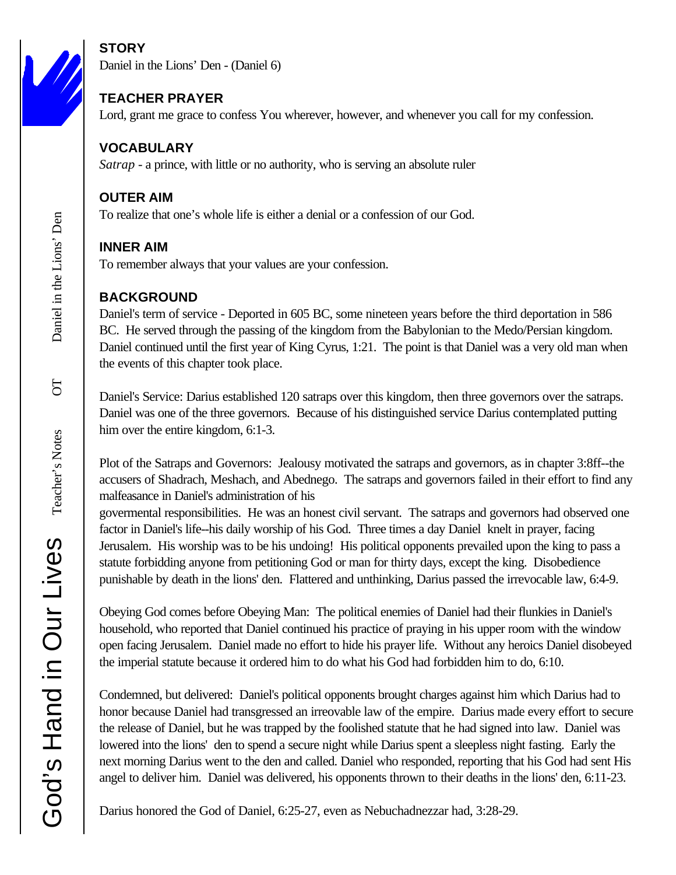# **STORY**

Daniel in the Lions' Den - (Daniel 6)

## **TEACHER PRAYER**

Lord, grant me grace to confess You wherever, however, and whenever you call for my confession.

## **VOCABULARY**

*Satrap* - a prince, with little or no authority, who is serving an absolute ruler

### **OUTER AIM**

To realize that one's whole life is either a denial or a confession of our God.

## **INNER AIM**

To remember always that your values are your confession.

## **BACKGROUND**

Daniel's term of service - Deported in 605 BC, some nineteen years before the third deportation in 586 BC. He served through the passing of the kingdom from the Babylonian to the Medo/Persian kingdom. Daniel continued until the first year of King Cyrus, 1:21. The point is that Daniel was a very old man when the events of this chapter took place.

Daniel's Service: Darius established 120 satraps over this kingdom, then three governors over the satraps. Daniel was one of the three governors. Because of his distinguished service Darius contemplated putting him over the entire kingdom, 6:1-3.

Plot of the Satraps and Governors: Jealousy motivated the satraps and governors, as in chapter 3:8ff--the accusers of Shadrach, Meshach, and Abednego. The satraps and governors failed in their effort to find any malfeasance in Daniel's administration of his

govermental responsibilities. He was an honest civil servant. The satraps and governors had observed one factor in Daniel's life--his daily worship of his God. Three times a day Daniel knelt in prayer, facing Jerusalem. His worship was to be his undoing! His political opponents prevailed upon the king to pass a statute forbidding anyone from petitioning God or man for thirty days, except the king. Disobedience punishable by death in the lions' den. Flattered and unthinking, Darius passed the irrevocable law, 6:4-9.

Obeying God comes before Obeying Man: The political enemies of Daniel had their flunkies in Daniel's household, who reported that Daniel continued his practice of praying in his upper room with the window open facing Jerusalem. Daniel made no effort to hide his prayer life. Without any heroics Daniel disobeyed the imperial statute because it ordered him to do what his God had forbidden him to do, 6:10.

Condemned, but delivered: Daniel's political opponents brought charges against him which Darius had to honor because Daniel had transgressed an irreovable law of the empire. Darius made every effort to secure the release of Daniel, but he was trapped by the foolished statute that he had signed into law. Daniel was lowered into the lions' den to spend a secure night while Darius spent a sleepless night fasting. Early the next morning Darius went to the den and called. Daniel who responded, reporting that his God had sent His angel to deliver him. Daniel was delivered, his opponents thrown to their deaths in the lions' den, 6:11-23.

Darius honored the God of Daniel, 6:25-27, even as Nebuchadnezzar had, 3:28-29.

 $50$